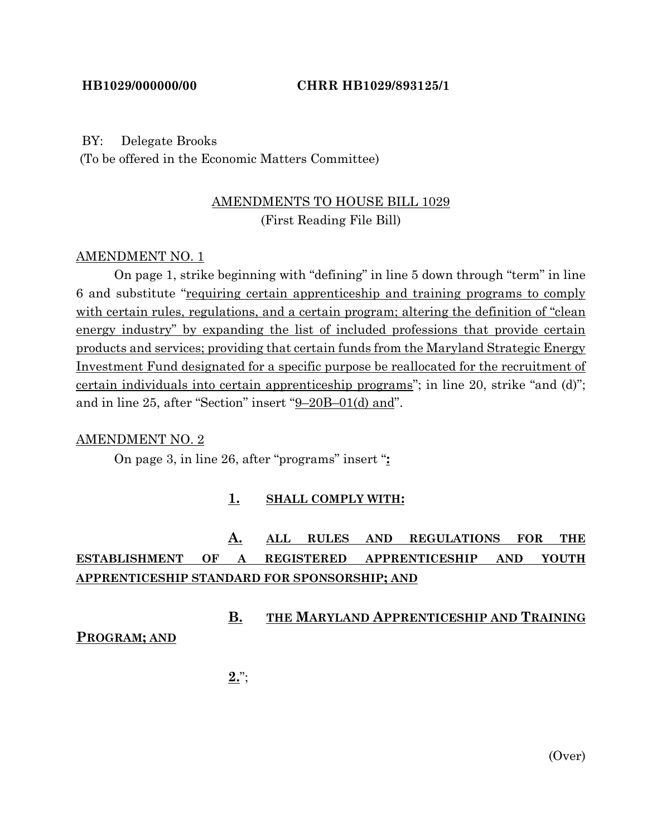### BY: Delegate Brooks

(To be offered in the Economic Matters Committee)

## AMENDMENTS TO HOUSE BILL 1029 (First Reading File Bill)

## AMENDMENT NO. 1

On page 1, strike beginning with "defining" in line 5 down through "term" in line 6 and substitute "requiring certain apprenticeship and training programs to comply with certain rules, regulations, and a certain program; altering the definition of "clean" energy industry" by expanding the list of included professions that provide certain products and services; providing that certain funds from the Maryland Strategic Energy Investment Fund designated for a specific purpose be reallocated for the recruitment of certain individuals into certain apprenticeship programs"; in line 20, strike "and (d)"; and in line 25, after "Section" insert "9–20B–01(d) and".

#### AMENDMENT NO. 2

On page 3, in line 26, after "programs" insert "**:**

## **1. SHALL COMPLY WITH:**

## **A. ALL RULES AND REGULATIONS FOR THE ESTABLISHMENT OF A REGISTERED APPRENTICESHIP AND YOUTH APPRENTICESHIP STANDARD FOR SPONSORSHIP; AND**

## **B. THE MARYLAND APPRENTICESHIP AND TRAINING**

## **PROGRAM; AND**

**2.**";

(Over)